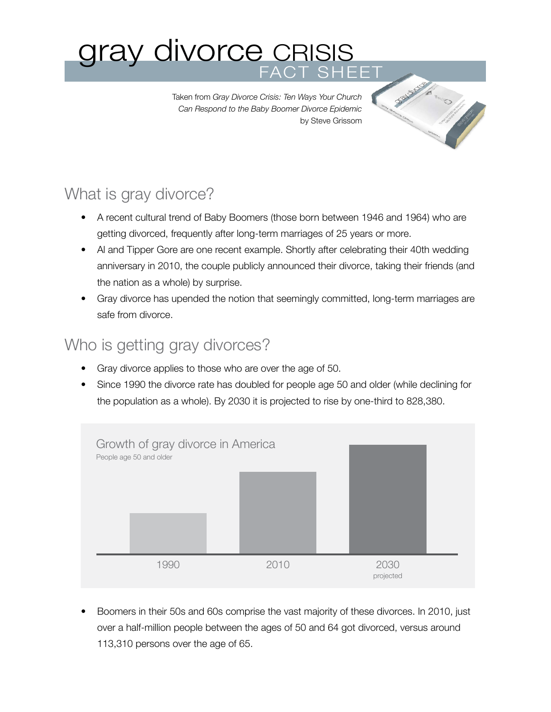# gray divorce CRISIS FACT SHEET

Taken from *Gray Divorce Crisis: Ten Ways Your Church Can Respond to the Baby Boomer Divorce Epidemic* by Steve Grissom

# What is gray divorce?

- A recent cultural trend of Baby Boomers (those born between 1946 and 1964) who are getting divorced, frequently after long-term marriages of 25 years or more.
- Al and Tipper Gore are one recent example. Shortly after celebrating their 40th wedding anniversary in 2010, the couple publicly announced their divorce, taking their friends (and the nation as a whole) by surprise.
- Gray divorce has upended the notion that seemingly committed, long-term marriages are safe from divorce.

#### Who is getting gray divorces?

- Gray divorce applies to those who are over the age of 50.
- Since 1990 the divorce rate has doubled for people age 50 and older (while declining for the population as a whole). By 2030 it is projected to rise by one-third to 828,380.



• Boomers in their 50s and 60s comprise the vast majority of these divorces. In 2010, just over a half-million people between the ages of 50 and 64 got divorced, versus around 113,310 persons over the age of 65.